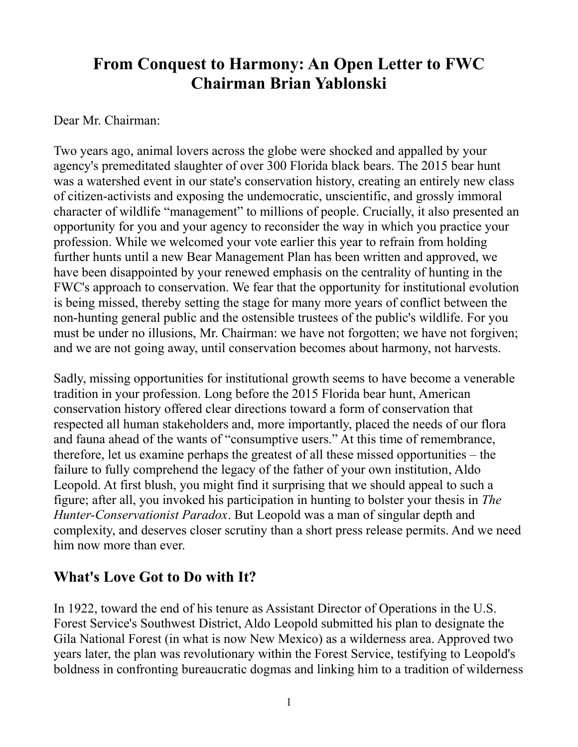# **From Conquest to Harmony: An Open Letter to FWC Chairman Brian Yablonski**

#### Dear Mr. Chairman:

Two years ago, animal lovers across the globe were shocked and appalled by your agency's premeditated slaughter of over 300 Florida black bears. The 2015 bear hunt was a watershed event in our state's conservation history, creating an entirely new class of citizen-activists and exposing the undemocratic, unscientific, and grossly immoral character of wildlife "management" to millions of people. Crucially, it also presented an opportunity for you and your agency to reconsider the way in which you practice your profession. While we welcomed your vote earlier this year to refrain from holding further hunts until a new Bear Management Plan has been written and approved, we have been disappointed by your renewed emphasis on the centrality of hunting in the FWC's approach to conservation. We fear that the opportunity for institutional evolution is being missed, thereby setting the stage for many more years of conflict between the non-hunting general public and the ostensible trustees of the public's wildlife. For you must be under no illusions, Mr. Chairman: we have not forgotten; we have not forgiven; and we are not going away, until conservation becomes about harmony, not harvests.

Sadly, missing opportunities for institutional growth seems to have become a venerable tradition in your profession. Long before the 2015 Florida bear hunt, American conservation history offered clear directions toward a form of conservation that respected all human stakeholders and, more importantly, placed the needs of our flora and fauna ahead of the wants of "consumptive users." At this time of remembrance, therefore, let us examine perhaps the greatest of all these missed opportunities – the failure to fully comprehend the legacy of the father of your own institution, Aldo Leopold. At first blush, you might find it surprising that we should appeal to such a figure; after all, you invoked his participation in hunting to bolster your thesis in *The Hunter-Conservationist Paradox*. But Leopold was a man of singular depth and complexity, and deserves closer scrutiny than a short press release permits. And we need him now more than ever.

## **What's Love Got to Do with It?**

In 1922, toward the end of his tenure as Assistant Director of Operations in the U.S. Forest Service's Southwest District, Aldo Leopold submitted his plan to designate the Gila National Forest (in what is now New Mexico) as a wilderness area. Approved two years later, the plan was revolutionary within the Forest Service, testifying to Leopold's boldness in confronting bureaucratic dogmas and linking him to a tradition of wilderness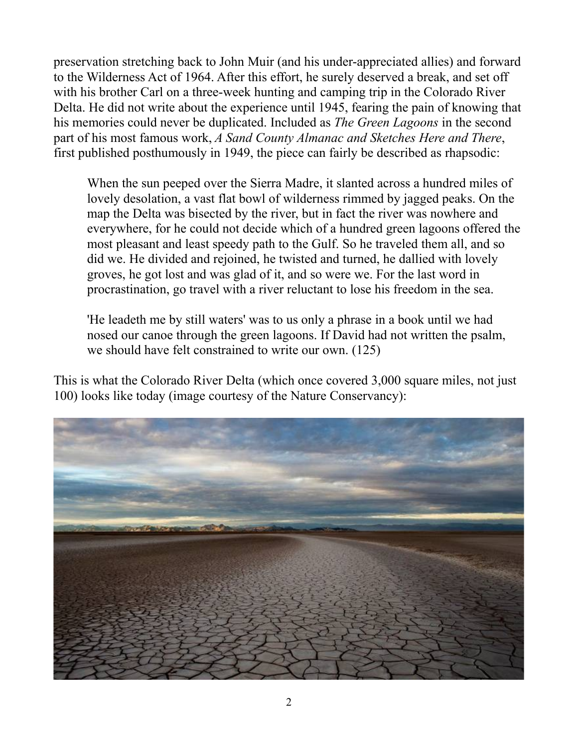preservation stretching back to John Muir (and his under-appreciated allies) and forward to the Wilderness Act of 1964. After this effort, he surely deserved a break, and set off with his brother Carl on a three-week hunting and camping trip in the Colorado River Delta. He did not write about the experience until 1945, fearing the pain of knowing that his memories could never be duplicated. Included as *The Green Lagoons* in the second part of his most famous work, *A Sand County Almanac and Sketches Here and There*, first published posthumously in 1949, the piece can fairly be described as rhapsodic:

When the sun peeped over the Sierra Madre, it slanted across a hundred miles of lovely desolation, a vast flat bowl of wilderness rimmed by jagged peaks. On the map the Delta was bisected by the river, but in fact the river was nowhere and everywhere, for he could not decide which of a hundred green lagoons offered the most pleasant and least speedy path to the Gulf. So he traveled them all, and so did we. He divided and rejoined, he twisted and turned, he dallied with lovely groves, he got lost and was glad of it, and so were we. For the last word in procrastination, go travel with a river reluctant to lose his freedom in the sea.

'He leadeth me by still waters' was to us only a phrase in a book until we had nosed our canoe through the green lagoons. If David had not written the psalm, we should have felt constrained to write our own. (125)

This is what the Colorado River Delta (which once covered 3,000 square miles, not just 100) looks like today (image courtesy of the Nature Conservancy):

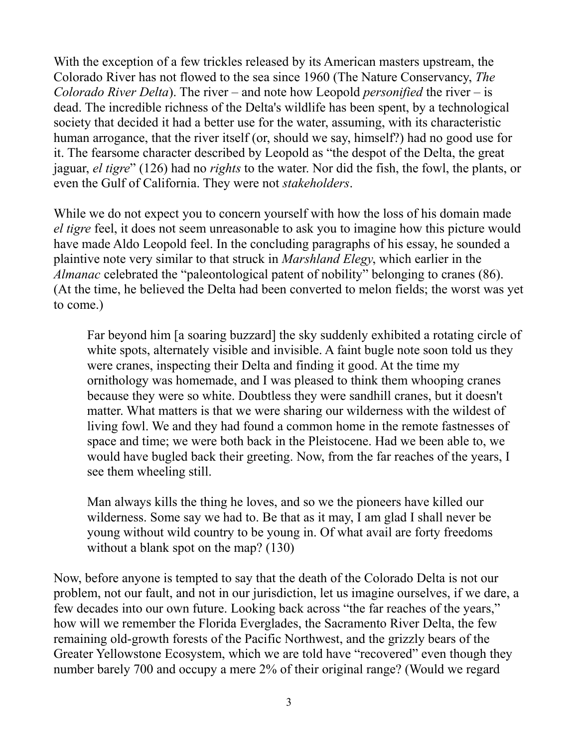With the exception of a few trickles released by its American masters upstream, the Colorado River has not flowed to the sea since 1960 (The Nature Conservancy, *The Colorado River Delta*). The river – and note how Leopold *personified* the river – is dead. The incredible richness of the Delta's wildlife has been spent, by a technological society that decided it had a better use for the water, assuming, with its characteristic human arrogance, that the river itself (or, should we say, himself?) had no good use for it. The fearsome character described by Leopold as "the despot of the Delta, the great jaguar, *el tigre*" (126) had no *rights* to the water. Nor did the fish, the fowl, the plants, or even the Gulf of California. They were not *stakeholders*.

While we do not expect you to concern yourself with how the loss of his domain made *el tigre* feel, it does not seem unreasonable to ask you to imagine how this picture would have made Aldo Leopold feel. In the concluding paragraphs of his essay, he sounded a plaintive note very similar to that struck in *Marshland Elegy*, which earlier in the *Almanac* celebrated the "paleontological patent of nobility" belonging to cranes (86). (At the time, he believed the Delta had been converted to melon fields; the worst was yet to come.)

Far beyond him [a soaring buzzard] the sky suddenly exhibited a rotating circle of white spots, alternately visible and invisible. A faint bugle note soon told us they were cranes, inspecting their Delta and finding it good. At the time my ornithology was homemade, and I was pleased to think them whooping cranes because they were so white. Doubtless they were sandhill cranes, but it doesn't matter. What matters is that we were sharing our wilderness with the wildest of living fowl. We and they had found a common home in the remote fastnesses of space and time; we were both back in the Pleistocene. Had we been able to, we would have bugled back their greeting. Now, from the far reaches of the years, I see them wheeling still.

Man always kills the thing he loves, and so we the pioneers have killed our wilderness. Some say we had to. Be that as it may, I am glad I shall never be young without wild country to be young in. Of what avail are forty freedoms without a blank spot on the map? (130)

Now, before anyone is tempted to say that the death of the Colorado Delta is not our problem, not our fault, and not in our jurisdiction, let us imagine ourselves, if we dare, a few decades into our own future. Looking back across "the far reaches of the years," how will we remember the Florida Everglades, the Sacramento River Delta, the few remaining old-growth forests of the Pacific Northwest, and the grizzly bears of the Greater Yellowstone Ecosystem, which we are told have "recovered" even though they number barely 700 and occupy a mere 2% of their original range? (Would we regard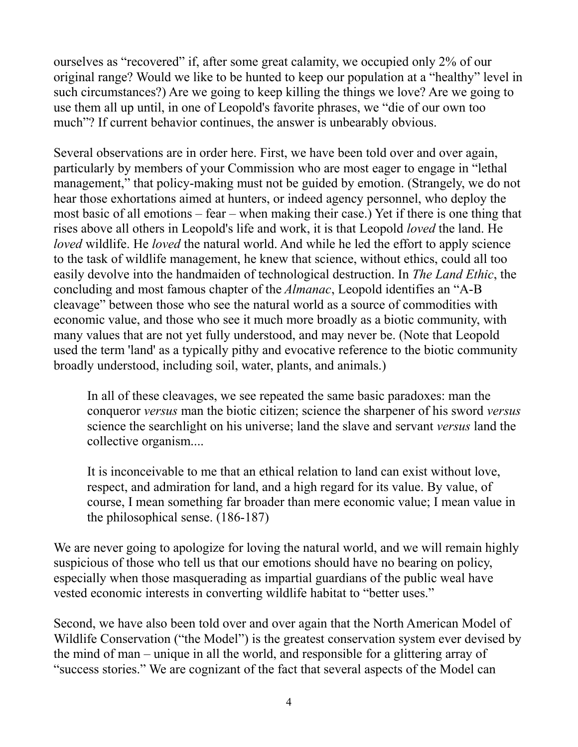ourselves as "recovered" if, after some great calamity, we occupied only 2% of our original range? Would we like to be hunted to keep our population at a "healthy" level in such circumstances?) Are we going to keep killing the things we love? Are we going to use them all up until, in one of Leopold's favorite phrases, we "die of our own too much"? If current behavior continues, the answer is unbearably obvious.

Several observations are in order here. First, we have been told over and over again, particularly by members of your Commission who are most eager to engage in "lethal management," that policy-making must not be guided by emotion. (Strangely, we do not hear those exhortations aimed at hunters, or indeed agency personnel, who deploy the most basic of all emotions – fear – when making their case.) Yet if there is one thing that rises above all others in Leopold's life and work, it is that Leopold *loved* the land. He *loved* wildlife. He *loved* the natural world. And while he led the effort to apply science to the task of wildlife management, he knew that science, without ethics, could all too easily devolve into the handmaiden of technological destruction. In *The Land Ethic*, the concluding and most famous chapter of the *Almanac*, Leopold identifies an "A-B cleavage" between those who see the natural world as a source of commodities with economic value, and those who see it much more broadly as a biotic community, with many values that are not yet fully understood, and may never be. (Note that Leopold used the term 'land' as a typically pithy and evocative reference to the biotic community broadly understood, including soil, water, plants, and animals.)

In all of these cleavages, we see repeated the same basic paradoxes: man the conqueror *versus* man the biotic citizen; science the sharpener of his sword *versus* science the searchlight on his universe; land the slave and servant *versus* land the collective organism....

It is inconceivable to me that an ethical relation to land can exist without love, respect, and admiration for land, and a high regard for its value. By value, of course, I mean something far broader than mere economic value; I mean value in the philosophical sense. (186-187)

We are never going to apologize for loving the natural world, and we will remain highly suspicious of those who tell us that our emotions should have no bearing on policy, especially when those masquerading as impartial guardians of the public weal have vested economic interests in converting wildlife habitat to "better uses."

Second, we have also been told over and over again that the North American Model of Wildlife Conservation ("the Model") is the greatest conservation system ever devised by the mind of man – unique in all the world, and responsible for a glittering array of "success stories." We are cognizant of the fact that several aspects of the Model can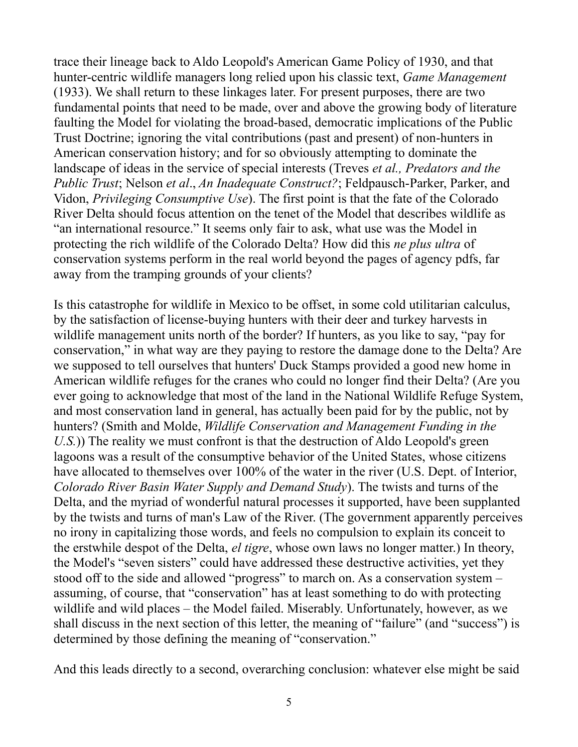trace their lineage back to Aldo Leopold's American Game Policy of 1930, and that hunter-centric wildlife managers long relied upon his classic text, *Game Management* (1933). We shall return to these linkages later. For present purposes, there are two fundamental points that need to be made, over and above the growing body of literature faulting the Model for violating the broad-based, democratic implications of the Public Trust Doctrine; ignoring the vital contributions (past and present) of non-hunters in American conservation history; and for so obviously attempting to dominate the landscape of ideas in the service of special interests (Treves *et al., Predators and the Public Trust*; Nelson *et al*., *An Inadequate Construct?*; Feldpausch-Parker, Parker, and Vidon, *Privileging Consumptive Use*). The first point is that the fate of the Colorado River Delta should focus attention on the tenet of the Model that describes wildlife as "an international resource." It seems only fair to ask, what use was the Model in protecting the rich wildlife of the Colorado Delta? How did this *ne plus ultra* of conservation systems perform in the real world beyond the pages of agency pdfs, far away from the tramping grounds of your clients?

Is this catastrophe for wildlife in Mexico to be offset, in some cold utilitarian calculus, by the satisfaction of license-buying hunters with their deer and turkey harvests in wildlife management units north of the border? If hunters, as you like to say, "pay for conservation," in what way are they paying to restore the damage done to the Delta? Are we supposed to tell ourselves that hunters' Duck Stamps provided a good new home in American wildlife refuges for the cranes who could no longer find their Delta? (Are you ever going to acknowledge that most of the land in the National Wildlife Refuge System, and most conservation land in general, has actually been paid for by the public, not by hunters? (Smith and Molde, *Wildlife Conservation and Management Funding in the U.S.*)) The reality we must confront is that the destruction of Aldo Leopold's green lagoons was a result of the consumptive behavior of the United States, whose citizens have allocated to themselves over 100% of the water in the river (U.S. Dept. of Interior, *Colorado River Basin Water Supply and Demand Study*). The twists and turns of the Delta, and the myriad of wonderful natural processes it supported, have been supplanted by the twists and turns of man's Law of the River. (The government apparently perceives no irony in capitalizing those words, and feels no compulsion to explain its conceit to the erstwhile despot of the Delta, *el tigre*, whose own laws no longer matter.) In theory, the Model's "seven sisters" could have addressed these destructive activities, yet they stood off to the side and allowed "progress" to march on. As a conservation system – assuming, of course, that "conservation" has at least something to do with protecting wildlife and wild places – the Model failed. Miserably. Unfortunately, however, as we shall discuss in the next section of this letter, the meaning of "failure" (and "success") is determined by those defining the meaning of "conservation."

And this leads directly to a second, overarching conclusion: whatever else might be said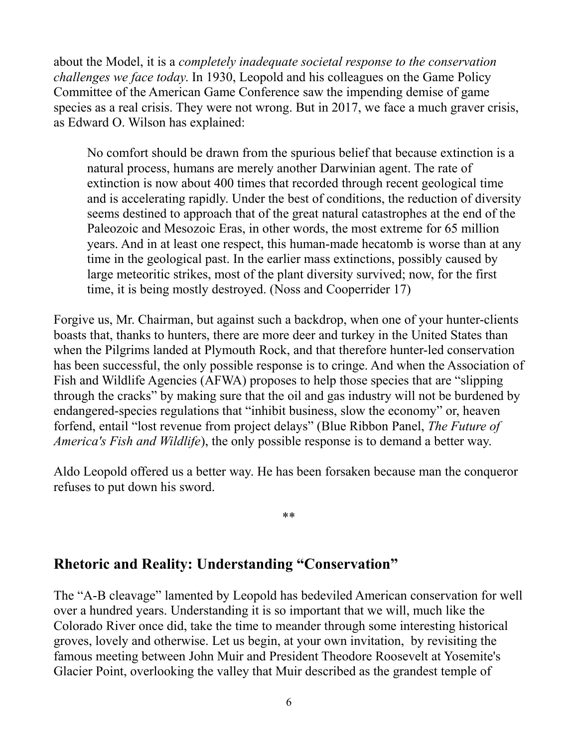about the Model, it is a *completely inadequate societal response to the conservation challenges we face today*. In 1930, Leopold and his colleagues on the Game Policy Committee of the American Game Conference saw the impending demise of game species as a real crisis. They were not wrong. But in 2017, we face a much graver crisis, as Edward O. Wilson has explained:

No comfort should be drawn from the spurious belief that because extinction is a natural process, humans are merely another Darwinian agent. The rate of extinction is now about 400 times that recorded through recent geological time and is accelerating rapidly. Under the best of conditions, the reduction of diversity seems destined to approach that of the great natural catastrophes at the end of the Paleozoic and Mesozoic Eras, in other words, the most extreme for 65 million years. And in at least one respect, this human-made hecatomb is worse than at any time in the geological past. In the earlier mass extinctions, possibly caused by large meteoritic strikes, most of the plant diversity survived; now, for the first time, it is being mostly destroyed. (Noss and Cooperrider 17)

Forgive us, Mr. Chairman, but against such a backdrop, when one of your hunter-clients boasts that, thanks to hunters, there are more deer and turkey in the United States than when the Pilgrims landed at Plymouth Rock, and that therefore hunter-led conservation has been successful, the only possible response is to cringe. And when the Association of Fish and Wildlife Agencies (AFWA) proposes to help those species that are "slipping through the cracks" by making sure that the oil and gas industry will not be burdened by endangered-species regulations that "inhibit business, slow the economy" or, heaven forfend, entail "lost revenue from project delays" (Blue Ribbon Panel, *The Future of America's Fish and Wildlife*), the only possible response is to demand a better way.

Aldo Leopold offered us a better way. He has been forsaken because man the conqueror refuses to put down his sword.

\*\*

## **Rhetoric and Reality: Understanding "Conservation"**

The "A-B cleavage" lamented by Leopold has bedeviled American conservation for well over a hundred years. Understanding it is so important that we will, much like the Colorado River once did, take the time to meander through some interesting historical groves, lovely and otherwise. Let us begin, at your own invitation, by revisiting the famous meeting between John Muir and President Theodore Roosevelt at Yosemite's Glacier Point, overlooking the valley that Muir described as the grandest temple of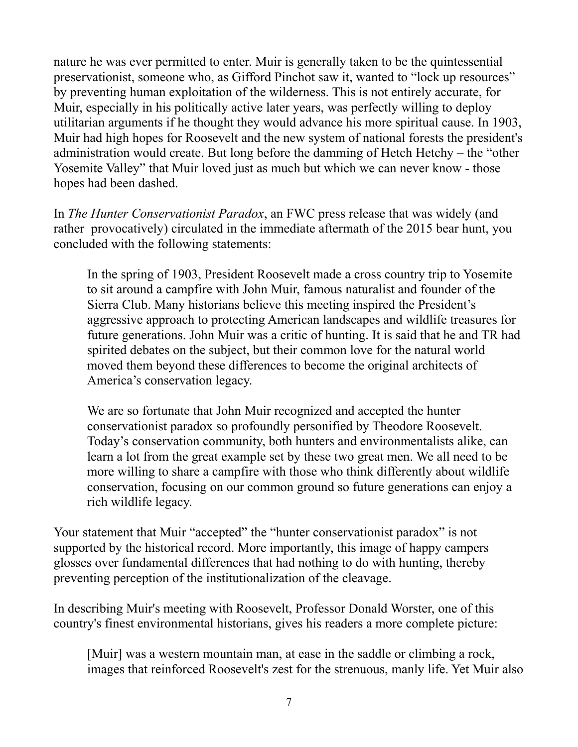nature he was ever permitted to enter. Muir is generally taken to be the quintessential preservationist, someone who, as Gifford Pinchot saw it, wanted to "lock up resources" by preventing human exploitation of the wilderness. This is not entirely accurate, for Muir, especially in his politically active later years, was perfectly willing to deploy utilitarian arguments if he thought they would advance his more spiritual cause. In 1903, Muir had high hopes for Roosevelt and the new system of national forests the president's administration would create. But long before the damming of Hetch Hetchy – the "other Yosemite Valley" that Muir loved just as much but which we can never know - those hopes had been dashed.

In *The Hunter Conservationist Paradox*, an FWC press release that was widely (and rather provocatively) circulated in the immediate aftermath of the 2015 bear hunt, you concluded with the following statements:

In the spring of 1903, President Roosevelt made a cross country trip to Yosemite to sit around a campfire with John Muir, famous naturalist and founder of the Sierra Club. Many historians believe this meeting inspired the President's aggressive approach to protecting American landscapes and wildlife treasures for future generations. John Muir was a critic of hunting. It is said that he and TR had spirited debates on the subject, but their common love for the natural world moved them beyond these differences to become the original architects of America's conservation legacy.

We are so fortunate that John Muir recognized and accepted the hunter conservationist paradox so profoundly personified by Theodore Roosevelt. Today's conservation community, both hunters and environmentalists alike, can learn a lot from the great example set by these two great men. We all need to be more willing to share a campfire with those who think differently about wildlife conservation, focusing on our common ground so future generations can enjoy a rich wildlife legacy.

Your statement that Muir "accepted" the "hunter conservationist paradox" is not supported by the historical record. More importantly, this image of happy campers glosses over fundamental differences that had nothing to do with hunting, thereby preventing perception of the institutionalization of the cleavage.

In describing Muir's meeting with Roosevelt, Professor Donald Worster, one of this country's finest environmental historians, gives his readers a more complete picture:

[Muir] was a western mountain man, at ease in the saddle or climbing a rock, images that reinforced Roosevelt's zest for the strenuous, manly life. Yet Muir also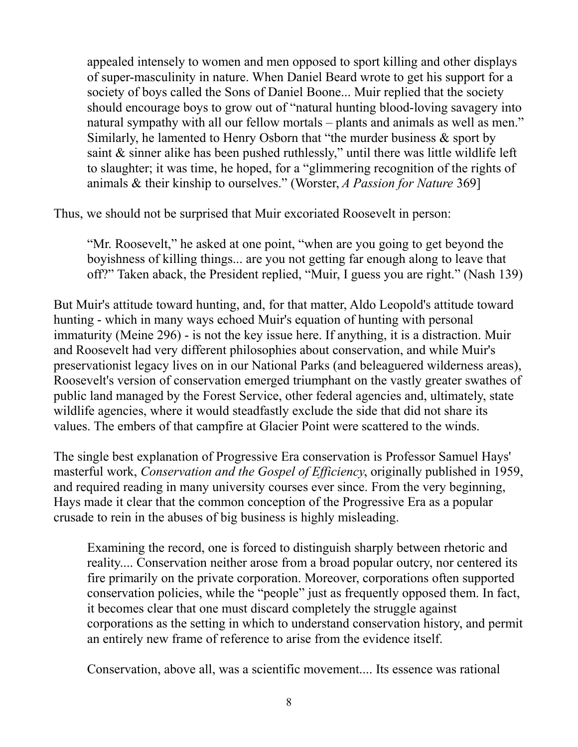appealed intensely to women and men opposed to sport killing and other displays of super-masculinity in nature. When Daniel Beard wrote to get his support for a society of boys called the Sons of Daniel Boone... Muir replied that the society should encourage boys to grow out of "natural hunting blood-loving savagery into natural sympathy with all our fellow mortals – plants and animals as well as men." Similarly, he lamented to Henry Osborn that "the murder business & sport by saint & sinner alike has been pushed ruthlessly," until there was little wildlife left to slaughter; it was time, he hoped, for a "glimmering recognition of the rights of animals & their kinship to ourselves." (Worster, *A Passion for Nature* 369]

Thus, we should not be surprised that Muir excoriated Roosevelt in person:

"Mr. Roosevelt," he asked at one point, "when are you going to get beyond the boyishness of killing things... are you not getting far enough along to leave that off?" Taken aback, the President replied, "Muir, I guess you are right." (Nash 139)

But Muir's attitude toward hunting, and, for that matter, Aldo Leopold's attitude toward hunting - which in many ways echoed Muir's equation of hunting with personal immaturity (Meine 296) - is not the key issue here. If anything, it is a distraction. Muir and Roosevelt had very different philosophies about conservation, and while Muir's preservationist legacy lives on in our National Parks (and beleaguered wilderness areas), Roosevelt's version of conservation emerged triumphant on the vastly greater swathes of public land managed by the Forest Service, other federal agencies and, ultimately, state wildlife agencies, where it would steadfastly exclude the side that did not share its values. The embers of that campfire at Glacier Point were scattered to the winds.

The single best explanation of Progressive Era conservation is Professor Samuel Hays' masterful work, *Conservation and the Gospel of Efficiency*, originally published in 1959, and required reading in many university courses ever since. From the very beginning, Hays made it clear that the common conception of the Progressive Era as a popular crusade to rein in the abuses of big business is highly misleading.

Examining the record, one is forced to distinguish sharply between rhetoric and reality.... Conservation neither arose from a broad popular outcry, nor centered its fire primarily on the private corporation. Moreover, corporations often supported conservation policies, while the "people" just as frequently opposed them. In fact, it becomes clear that one must discard completely the struggle against corporations as the setting in which to understand conservation history, and permit an entirely new frame of reference to arise from the evidence itself.

Conservation, above all, was a scientific movement.... Its essence was rational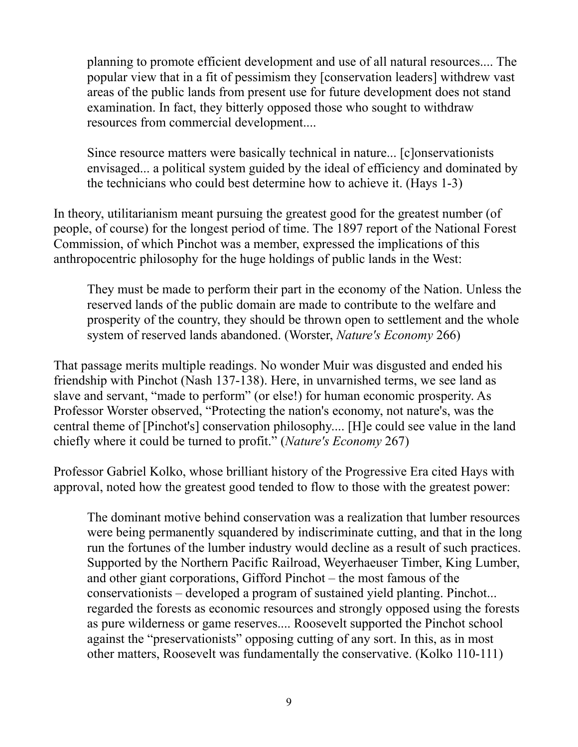planning to promote efficient development and use of all natural resources.... The popular view that in a fit of pessimism they [conservation leaders] withdrew vast areas of the public lands from present use for future development does not stand examination. In fact, they bitterly opposed those who sought to withdraw resources from commercial development....

Since resource matters were basically technical in nature... [c]onservationists envisaged... a political system guided by the ideal of efficiency and dominated by the technicians who could best determine how to achieve it. (Hays 1-3)

In theory, utilitarianism meant pursuing the greatest good for the greatest number (of people, of course) for the longest period of time. The 1897 report of the National Forest Commission, of which Pinchot was a member, expressed the implications of this anthropocentric philosophy for the huge holdings of public lands in the West:

They must be made to perform their part in the economy of the Nation. Unless the reserved lands of the public domain are made to contribute to the welfare and prosperity of the country, they should be thrown open to settlement and the whole system of reserved lands abandoned. (Worster, *Nature's Economy* 266)

That passage merits multiple readings. No wonder Muir was disgusted and ended his friendship with Pinchot (Nash 137-138). Here, in unvarnished terms, we see land as slave and servant, "made to perform" (or else!) for human economic prosperity. As Professor Worster observed, "Protecting the nation's economy, not nature's, was the central theme of [Pinchot's] conservation philosophy.... [H]e could see value in the land chiefly where it could be turned to profit." (*Nature's Economy* 267)

Professor Gabriel Kolko, whose brilliant history of the Progressive Era cited Hays with approval, noted how the greatest good tended to flow to those with the greatest power:

The dominant motive behind conservation was a realization that lumber resources were being permanently squandered by indiscriminate cutting, and that in the long run the fortunes of the lumber industry would decline as a result of such practices. Supported by the Northern Pacific Railroad, Weyerhaeuser Timber, King Lumber, and other giant corporations, Gifford Pinchot – the most famous of the conservationists – developed a program of sustained yield planting. Pinchot... regarded the forests as economic resources and strongly opposed using the forests as pure wilderness or game reserves.... Roosevelt supported the Pinchot school against the "preservationists" opposing cutting of any sort. In this, as in most other matters, Roosevelt was fundamentally the conservative. (Kolko 110-111)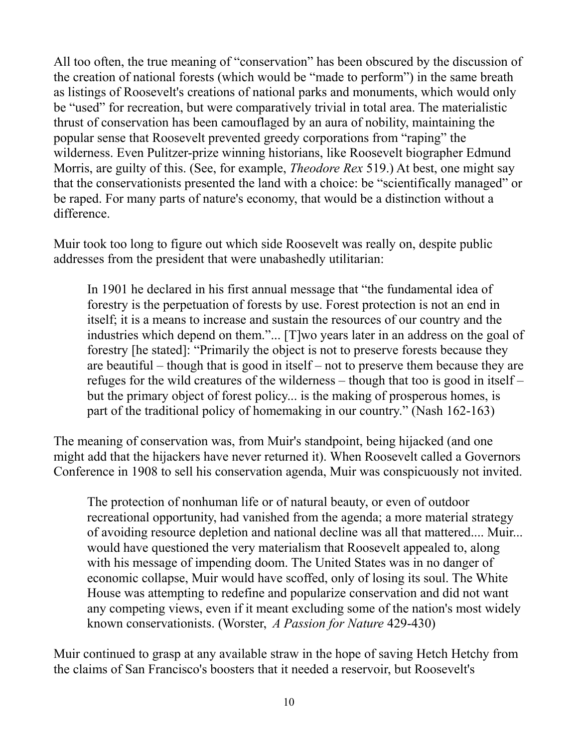All too often, the true meaning of "conservation" has been obscured by the discussion of the creation of national forests (which would be "made to perform") in the same breath as listings of Roosevelt's creations of national parks and monuments, which would only be "used" for recreation, but were comparatively trivial in total area. The materialistic thrust of conservation has been camouflaged by an aura of nobility, maintaining the popular sense that Roosevelt prevented greedy corporations from "raping" the wilderness. Even Pulitzer-prize winning historians, like Roosevelt biographer Edmund Morris, are guilty of this. (See, for example, *Theodore Rex* 519.) At best, one might say that the conservationists presented the land with a choice: be "scientifically managed" or be raped. For many parts of nature's economy, that would be a distinction without a difference.

Muir took too long to figure out which side Roosevelt was really on, despite public addresses from the president that were unabashedly utilitarian:

In 1901 he declared in his first annual message that "the fundamental idea of forestry is the perpetuation of forests by use. Forest protection is not an end in itself; it is a means to increase and sustain the resources of our country and the industries which depend on them."... [T]wo years later in an address on the goal of forestry [he stated]: "Primarily the object is not to preserve forests because they are beautiful – though that is good in itself – not to preserve them because they are refuges for the wild creatures of the wilderness – though that too is good in itself – but the primary object of forest policy... is the making of prosperous homes, is part of the traditional policy of homemaking in our country." (Nash 162-163)

The meaning of conservation was, from Muir's standpoint, being hijacked (and one might add that the hijackers have never returned it). When Roosevelt called a Governors Conference in 1908 to sell his conservation agenda, Muir was conspicuously not invited.

The protection of nonhuman life or of natural beauty, or even of outdoor recreational opportunity, had vanished from the agenda; a more material strategy of avoiding resource depletion and national decline was all that mattered.... Muir... would have questioned the very materialism that Roosevelt appealed to, along with his message of impending doom. The United States was in no danger of economic collapse, Muir would have scoffed, only of losing its soul. The White House was attempting to redefine and popularize conservation and did not want any competing views, even if it meant excluding some of the nation's most widely known conservationists. (Worster, *A Passion for Nature* 429-430)

Muir continued to grasp at any available straw in the hope of saving Hetch Hetchy from the claims of San Francisco's boosters that it needed a reservoir, but Roosevelt's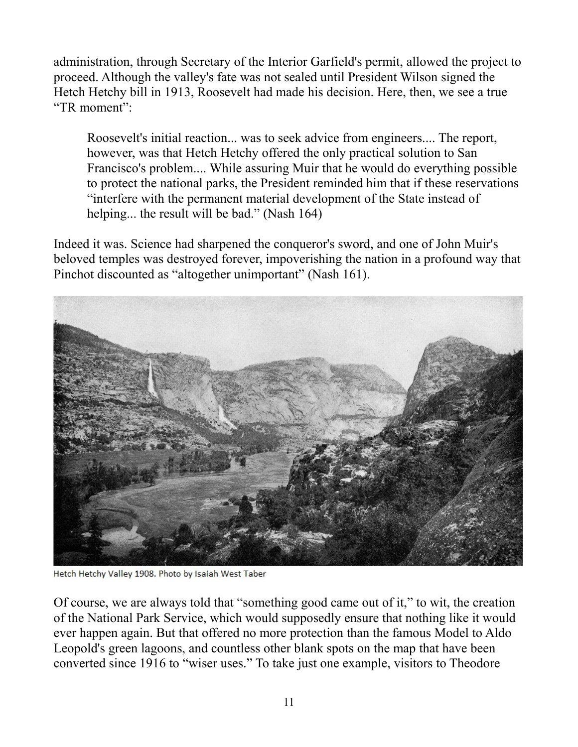administration, through Secretary of the Interior Garfield's permit, allowed the project to proceed. Although the valley's fate was not sealed until President Wilson signed the Hetch Hetchy bill in 1913, Roosevelt had made his decision. Here, then, we see a true "TR moment":

Roosevelt's initial reaction... was to seek advice from engineers.... The report, however, was that Hetch Hetchy offered the only practical solution to San Francisco's problem.... While assuring Muir that he would do everything possible to protect the national parks, the President reminded him that if these reservations "interfere with the permanent material development of the State instead of helping... the result will be bad." (Nash 164)

Indeed it was. Science had sharpened the conqueror's sword, and one of John Muir's beloved temples was destroyed forever, impoverishing the nation in a profound way that Pinchot discounted as "altogether unimportant" (Nash 161).



Hetch Hetchy Valley 1908. Photo by Isaiah West Taber

Of course, we are always told that "something good came out of it," to wit, the creation of the National Park Service, which would supposedly ensure that nothing like it would ever happen again. But that offered no more protection than the famous Model to Aldo Leopold's green lagoons, and countless other blank spots on the map that have been converted since 1916 to "wiser uses." To take just one example, visitors to Theodore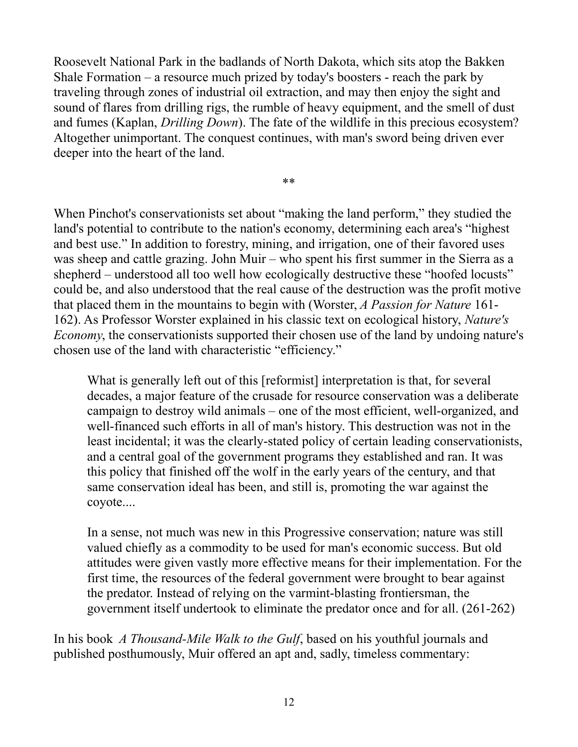Roosevelt National Park in the badlands of North Dakota, which sits atop the Bakken Shale Formation – a resource much prized by today's boosters - reach the park by traveling through zones of industrial oil extraction, and may then enjoy the sight and sound of flares from drilling rigs, the rumble of heavy equipment, and the smell of dust and fumes (Kaplan, *Drilling Down*). The fate of the wildlife in this precious ecosystem? Altogether unimportant. The conquest continues, with man's sword being driven ever deeper into the heart of the land.

\*\*

When Pinchot's conservationists set about "making the land perform," they studied the land's potential to contribute to the nation's economy, determining each area's "highest and best use." In addition to forestry, mining, and irrigation, one of their favored uses was sheep and cattle grazing. John Muir – who spent his first summer in the Sierra as a shepherd – understood all too well how ecologically destructive these "hoofed locusts" could be, and also understood that the real cause of the destruction was the profit motive that placed them in the mountains to begin with (Worster, *A Passion for Nature* 161- 162). As Professor Worster explained in his classic text on ecological history, *Nature's Economy*, the conservationists supported their chosen use of the land by undoing nature's chosen use of the land with characteristic "efficiency."

What is generally left out of this [reformist] interpretation is that, for several decades, a major feature of the crusade for resource conservation was a deliberate campaign to destroy wild animals – one of the most efficient, well-organized, and well-financed such efforts in all of man's history. This destruction was not in the least incidental; it was the clearly-stated policy of certain leading conservationists, and a central goal of the government programs they established and ran. It was this policy that finished off the wolf in the early years of the century, and that same conservation ideal has been, and still is, promoting the war against the coyote....

In a sense, not much was new in this Progressive conservation; nature was still valued chiefly as a commodity to be used for man's economic success. But old attitudes were given vastly more effective means for their implementation. For the first time, the resources of the federal government were brought to bear against the predator. Instead of relying on the varmint-blasting frontiersman, the government itself undertook to eliminate the predator once and for all. (261-262)

In his book *A Thousand-Mile Walk to the Gulf*, based on his youthful journals and published posthumously, Muir offered an apt and, sadly, timeless commentary: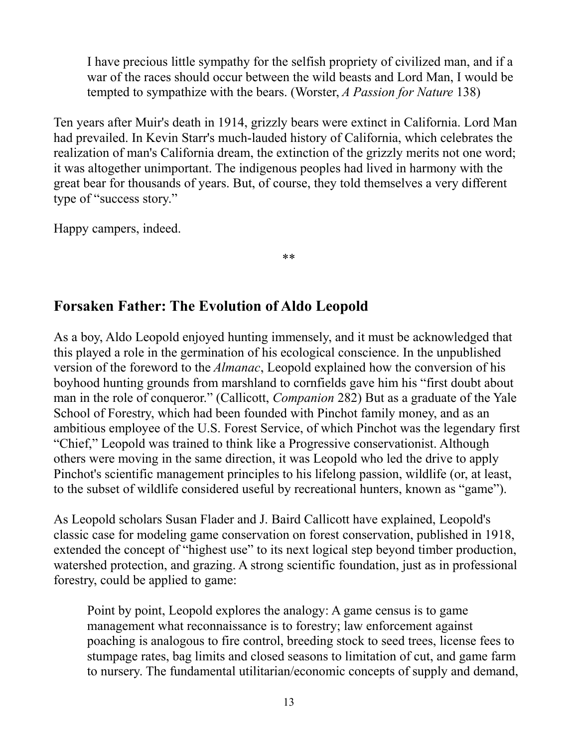I have precious little sympathy for the selfish propriety of civilized man, and if a war of the races should occur between the wild beasts and Lord Man, I would be tempted to sympathize with the bears. (Worster, *A Passion for Nature* 138)

Ten years after Muir's death in 1914, grizzly bears were extinct in California. Lord Man had prevailed. In Kevin Starr's much-lauded history of California, which celebrates the realization of man's California dream, the extinction of the grizzly merits not one word; it was altogether unimportant. The indigenous peoples had lived in harmony with the great bear for thousands of years. But, of course, they told themselves a very different type of "success story."

\*\*

Happy campers, indeed.

**Forsaken Father: The Evolution of Aldo Leopold**

As a boy, Aldo Leopold enjoyed hunting immensely, and it must be acknowledged that this played a role in the germination of his ecological conscience. In the unpublished version of the foreword to the *Almanac*, Leopold explained how the conversion of his boyhood hunting grounds from marshland to cornfields gave him his "first doubt about man in the role of conqueror." (Callicott, *Companion* 282) But as a graduate of the Yale School of Forestry, which had been founded with Pinchot family money, and as an ambitious employee of the U.S. Forest Service, of which Pinchot was the legendary first "Chief," Leopold was trained to think like a Progressive conservationist. Although others were moving in the same direction, it was Leopold who led the drive to apply Pinchot's scientific management principles to his lifelong passion, wildlife (or, at least, to the subset of wildlife considered useful by recreational hunters, known as "game").

As Leopold scholars Susan Flader and J. Baird Callicott have explained, Leopold's classic case for modeling game conservation on forest conservation, published in 1918, extended the concept of "highest use" to its next logical step beyond timber production, watershed protection, and grazing. A strong scientific foundation, just as in professional forestry, could be applied to game:

Point by point, Leopold explores the analogy: A game census is to game management what reconnaissance is to forestry; law enforcement against poaching is analogous to fire control, breeding stock to seed trees, license fees to stumpage rates, bag limits and closed seasons to limitation of cut, and game farm to nursery. The fundamental utilitarian/economic concepts of supply and demand,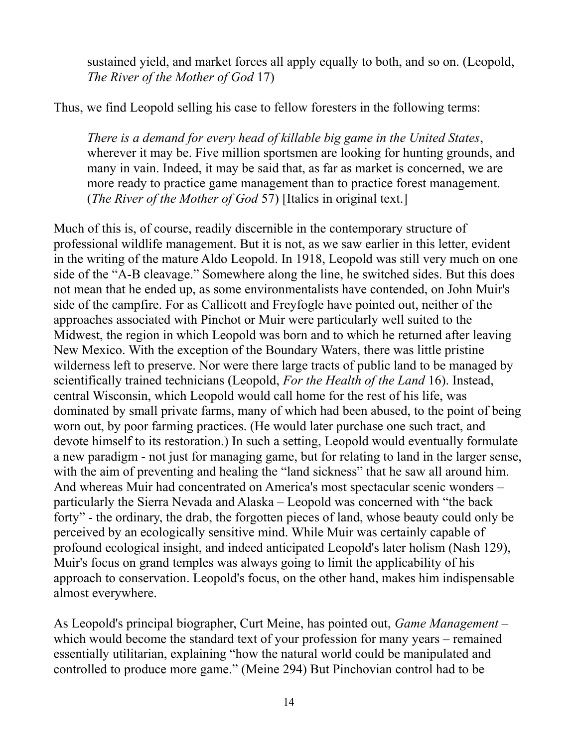sustained yield, and market forces all apply equally to both, and so on. (Leopold, *The River of the Mother of God* 17)

Thus, we find Leopold selling his case to fellow foresters in the following terms:

*There is a demand for every head of killable big game in the United States*, wherever it may be. Five million sportsmen are looking for hunting grounds, and many in vain. Indeed, it may be said that, as far as market is concerned, we are more ready to practice game management than to practice forest management. (*The River of the Mother of God* 57) [Italics in original text.]

Much of this is, of course, readily discernible in the contemporary structure of professional wildlife management. But it is not, as we saw earlier in this letter, evident in the writing of the mature Aldo Leopold. In 1918, Leopold was still very much on one side of the "A-B cleavage." Somewhere along the line, he switched sides. But this does not mean that he ended up, as some environmentalists have contended, on John Muir's side of the campfire. For as Callicott and Freyfogle have pointed out, neither of the approaches associated with Pinchot or Muir were particularly well suited to the Midwest, the region in which Leopold was born and to which he returned after leaving New Mexico. With the exception of the Boundary Waters, there was little pristine wilderness left to preserve. Nor were there large tracts of public land to be managed by scientifically trained technicians (Leopold, *For the Health of the Land* 16). Instead, central Wisconsin, which Leopold would call home for the rest of his life, was dominated by small private farms, many of which had been abused, to the point of being worn out, by poor farming practices. (He would later purchase one such tract, and devote himself to its restoration.) In such a setting, Leopold would eventually formulate a new paradigm - not just for managing game, but for relating to land in the larger sense, with the aim of preventing and healing the "land sickness" that he saw all around him. And whereas Muir had concentrated on America's most spectacular scenic wonders – particularly the Sierra Nevada and Alaska – Leopold was concerned with "the back forty" - the ordinary, the drab, the forgotten pieces of land, whose beauty could only be perceived by an ecologically sensitive mind. While Muir was certainly capable of profound ecological insight, and indeed anticipated Leopold's later holism (Nash 129), Muir's focus on grand temples was always going to limit the applicability of his approach to conservation. Leopold's focus, on the other hand, makes him indispensable almost everywhere.

As Leopold's principal biographer, Curt Meine, has pointed out, *Game Management* – which would become the standard text of your profession for many years – remained essentially utilitarian, explaining "how the natural world could be manipulated and controlled to produce more game." (Meine 294) But Pinchovian control had to be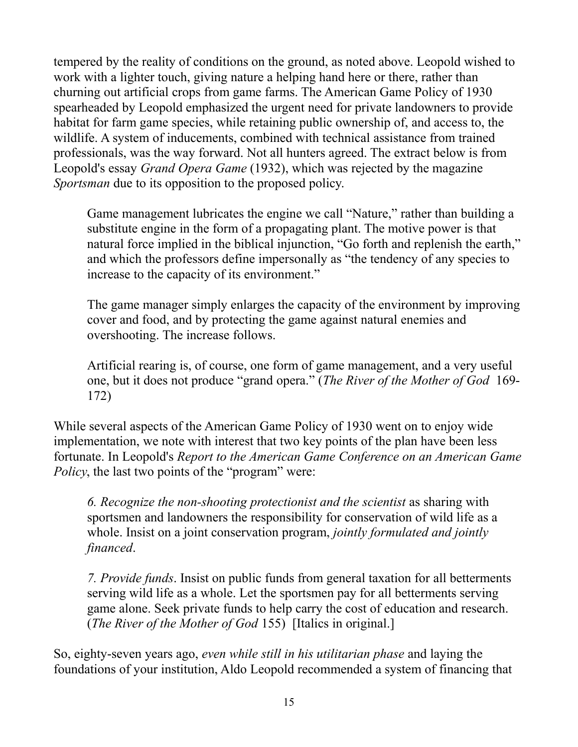tempered by the reality of conditions on the ground, as noted above. Leopold wished to work with a lighter touch, giving nature a helping hand here or there, rather than churning out artificial crops from game farms. The American Game Policy of 1930 spearheaded by Leopold emphasized the urgent need for private landowners to provide habitat for farm game species, while retaining public ownership of, and access to, the wildlife. A system of inducements, combined with technical assistance from trained professionals, was the way forward. Not all hunters agreed. The extract below is from Leopold's essay *Grand Opera Game* (1932), which was rejected by the magazine *Sportsman* due to its opposition to the proposed policy.

Game management lubricates the engine we call "Nature," rather than building a substitute engine in the form of a propagating plant. The motive power is that natural force implied in the biblical injunction, "Go forth and replenish the earth," and which the professors define impersonally as "the tendency of any species to increase to the capacity of its environment."

The game manager simply enlarges the capacity of the environment by improving cover and food, and by protecting the game against natural enemies and overshooting. The increase follows.

Artificial rearing is, of course, one form of game management, and a very useful one, but it does not produce "grand opera." (*The River of the Mother of God* 169- 172)

While several aspects of the American Game Policy of 1930 went on to enjoy wide implementation, we note with interest that two key points of the plan have been less fortunate. In Leopold's *Report to the American Game Conference on an American Game Policy*, the last two points of the "program" were:

*6. Recognize the non-shooting protectionist and the scientist* as sharing with sportsmen and landowners the responsibility for conservation of wild life as a whole. Insist on a joint conservation program, *jointly formulated and jointly financed*.

*7. Provide funds*. Insist on public funds from general taxation for all betterments serving wild life as a whole. Let the sportsmen pay for all betterments serving game alone. Seek private funds to help carry the cost of education and research. (*The River of the Mother of God* 155) [Italics in original.]

So, eighty-seven years ago, *even while still in his utilitarian phase* and laying the foundations of your institution, Aldo Leopold recommended a system of financing that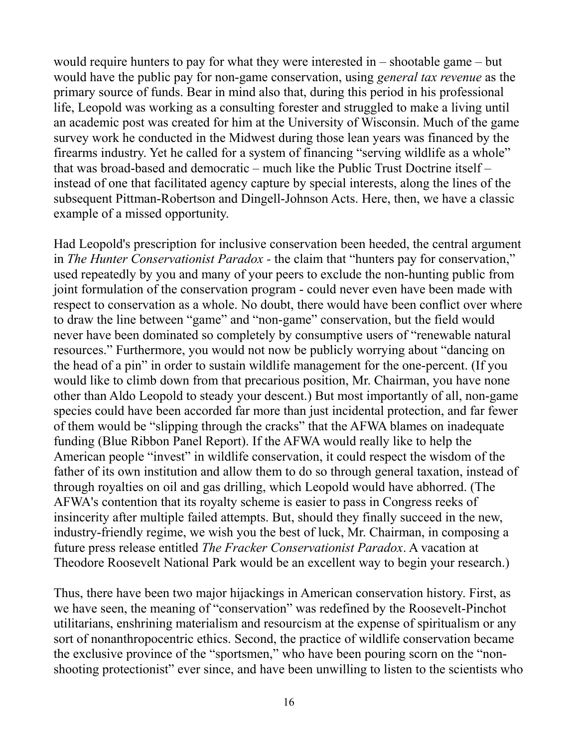would require hunters to pay for what they were interested in – shootable game – but would have the public pay for non-game conservation, using *general tax revenue* as the primary source of funds. Bear in mind also that, during this period in his professional life, Leopold was working as a consulting forester and struggled to make a living until an academic post was created for him at the University of Wisconsin. Much of the game survey work he conducted in the Midwest during those lean years was financed by the firearms industry. Yet he called for a system of financing "serving wildlife as a whole" that was broad-based and democratic – much like the Public Trust Doctrine itself – instead of one that facilitated agency capture by special interests, along the lines of the subsequent Pittman-Robertson and Dingell-Johnson Acts. Here, then, we have a classic example of a missed opportunity.

Had Leopold's prescription for inclusive conservation been heeded, the central argument in *The Hunter Conservationist Paradox -* the claim that "hunters pay for conservation," used repeatedly by you and many of your peers to exclude the non-hunting public from joint formulation of the conservation program - could never even have been made with respect to conservation as a whole. No doubt, there would have been conflict over where to draw the line between "game" and "non-game" conservation, but the field would never have been dominated so completely by consumptive users of "renewable natural resources." Furthermore, you would not now be publicly worrying about "dancing on the head of a pin" in order to sustain wildlife management for the one-percent. (If you would like to climb down from that precarious position, Mr. Chairman, you have none other than Aldo Leopold to steady your descent.) But most importantly of all, non-game species could have been accorded far more than just incidental protection, and far fewer of them would be "slipping through the cracks" that the AFWA blames on inadequate funding (Blue Ribbon Panel Report). If the AFWA would really like to help the American people "invest" in wildlife conservation, it could respect the wisdom of the father of its own institution and allow them to do so through general taxation, instead of through royalties on oil and gas drilling, which Leopold would have abhorred. (The AFWA's contention that its royalty scheme is easier to pass in Congress reeks of insincerity after multiple failed attempts. But, should they finally succeed in the new, industry-friendly regime, we wish you the best of luck, Mr. Chairman, in composing a future press release entitled *The Fracker Conservationist Paradox*. A vacation at Theodore Roosevelt National Park would be an excellent way to begin your research.)

Thus, there have been two major hijackings in American conservation history. First, as we have seen, the meaning of "conservation" was redefined by the Roosevelt-Pinchot utilitarians, enshrining materialism and resourcism at the expense of spiritualism or any sort of nonanthropocentric ethics. Second, the practice of wildlife conservation became the exclusive province of the "sportsmen," who have been pouring scorn on the "nonshooting protectionist" ever since, and have been unwilling to listen to the scientists who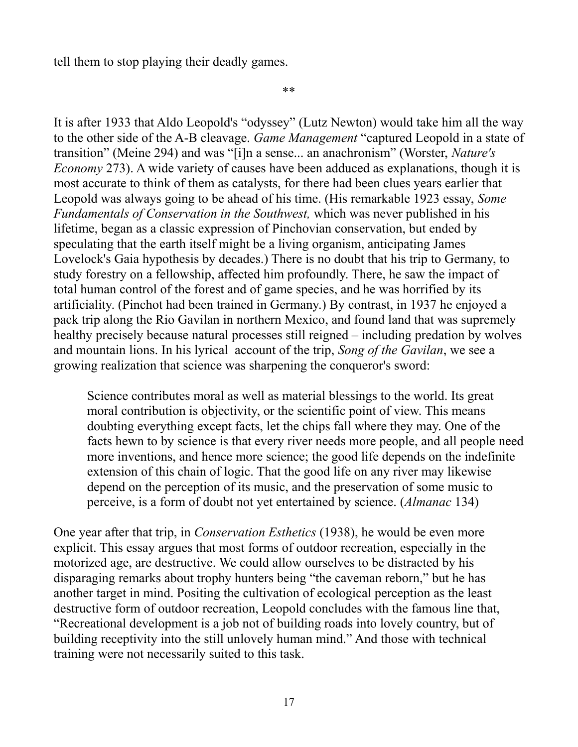tell them to stop playing their deadly games.

\*\*

It is after 1933 that Aldo Leopold's "odyssey" (Lutz Newton) would take him all the way to the other side of the A-B cleavage. *Game Management* "captured Leopold in a state of transition" (Meine 294) and was "[i]n a sense... an anachronism" (Worster, *Nature's Economy* 273). A wide variety of causes have been adduced as explanations, though it is most accurate to think of them as catalysts, for there had been clues years earlier that Leopold was always going to be ahead of his time. (His remarkable 1923 essay, *Some Fundamentals of Conservation in the Southwest,* which was never published in his lifetime, began as a classic expression of Pinchovian conservation, but ended by speculating that the earth itself might be a living organism, anticipating James Lovelock's Gaia hypothesis by decades.) There is no doubt that his trip to Germany, to study forestry on a fellowship, affected him profoundly. There, he saw the impact of total human control of the forest and of game species, and he was horrified by its artificiality. (Pinchot had been trained in Germany.) By contrast, in 1937 he enjoyed a pack trip along the Rio Gavilan in northern Mexico, and found land that was supremely healthy precisely because natural processes still reigned – including predation by wolves and mountain lions. In his lyrical account of the trip, *Song of the Gavilan*, we see a growing realization that science was sharpening the conqueror's sword:

Science contributes moral as well as material blessings to the world. Its great moral contribution is objectivity, or the scientific point of view. This means doubting everything except facts, let the chips fall where they may. One of the facts hewn to by science is that every river needs more people, and all people need more inventions, and hence more science; the good life depends on the indefinite extension of this chain of logic. That the good life on any river may likewise depend on the perception of its music, and the preservation of some music to perceive, is a form of doubt not yet entertained by science. (*Almanac* 134)

One year after that trip, in *Conservation Esthetics* (1938), he would be even more explicit. This essay argues that most forms of outdoor recreation, especially in the motorized age, are destructive. We could allow ourselves to be distracted by his disparaging remarks about trophy hunters being "the caveman reborn," but he has another target in mind. Positing the cultivation of ecological perception as the least destructive form of outdoor recreation, Leopold concludes with the famous line that, "Recreational development is a job not of building roads into lovely country, but of building receptivity into the still unlovely human mind." And those with technical training were not necessarily suited to this task.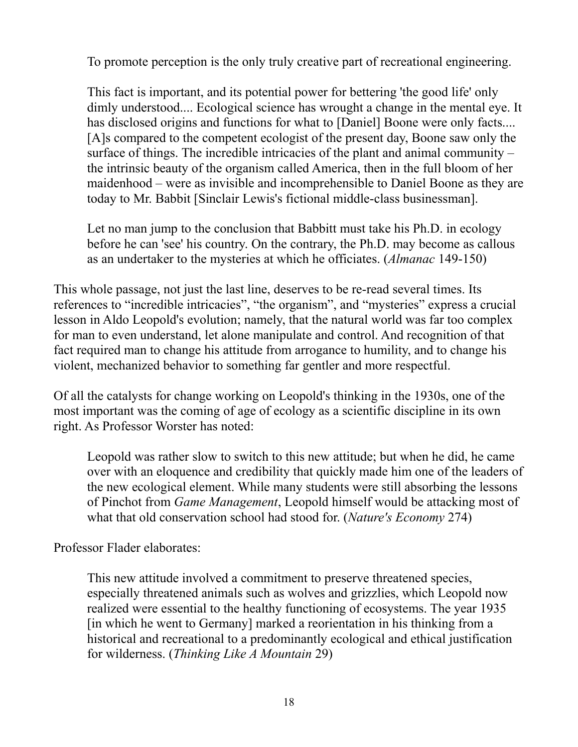To promote perception is the only truly creative part of recreational engineering.

This fact is important, and its potential power for bettering 'the good life' only dimly understood.... Ecological science has wrought a change in the mental eye. It has disclosed origins and functions for what to [Daniel] Boone were only facts.... [A]s compared to the competent ecologist of the present day, Boone saw only the surface of things. The incredible intricacies of the plant and animal community – the intrinsic beauty of the organism called America, then in the full bloom of her maidenhood – were as invisible and incomprehensible to Daniel Boone as they are today to Mr. Babbit [Sinclair Lewis's fictional middle-class businessman].

Let no man jump to the conclusion that Babbitt must take his Ph.D. in ecology before he can 'see' his country. On the contrary, the Ph.D. may become as callous as an undertaker to the mysteries at which he officiates. (*Almanac* 149-150)

This whole passage, not just the last line, deserves to be re-read several times. Its references to "incredible intricacies", "the organism", and "mysteries" express a crucial lesson in Aldo Leopold's evolution; namely, that the natural world was far too complex for man to even understand, let alone manipulate and control. And recognition of that fact required man to change his attitude from arrogance to humility, and to change his violent, mechanized behavior to something far gentler and more respectful.

Of all the catalysts for change working on Leopold's thinking in the 1930s, one of the most important was the coming of age of ecology as a scientific discipline in its own right. As Professor Worster has noted:

Leopold was rather slow to switch to this new attitude; but when he did, he came over with an eloquence and credibility that quickly made him one of the leaders of the new ecological element. While many students were still absorbing the lessons of Pinchot from *Game Management*, Leopold himself would be attacking most of what that old conservation school had stood for. (*Nature's Economy* 274)

Professor Flader elaborates:

This new attitude involved a commitment to preserve threatened species, especially threatened animals such as wolves and grizzlies, which Leopold now realized were essential to the healthy functioning of ecosystems. The year 1935 [in which he went to Germany] marked a reorientation in his thinking from a historical and recreational to a predominantly ecological and ethical justification for wilderness. (*Thinking Like A Mountain* 29)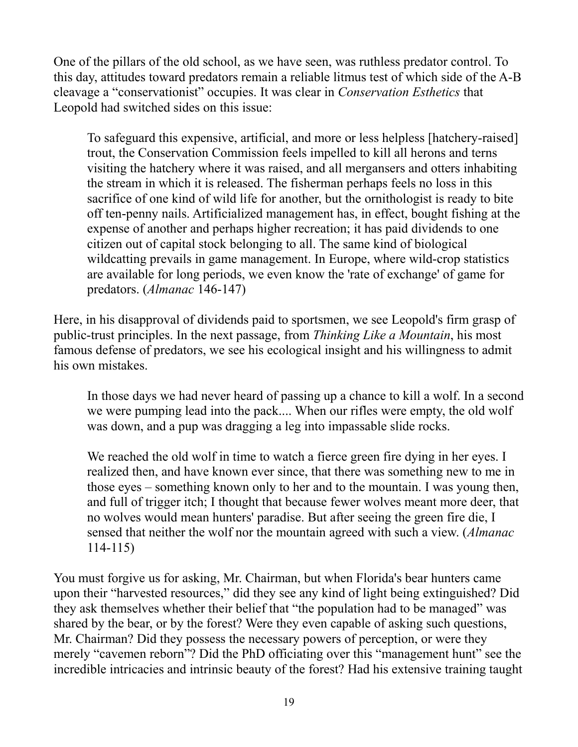One of the pillars of the old school, as we have seen, was ruthless predator control. To this day, attitudes toward predators remain a reliable litmus test of which side of the A-B cleavage a "conservationist" occupies. It was clear in *Conservation Esthetics* that Leopold had switched sides on this issue:

To safeguard this expensive, artificial, and more or less helpless [hatchery-raised] trout, the Conservation Commission feels impelled to kill all herons and terns visiting the hatchery where it was raised, and all mergansers and otters inhabiting the stream in which it is released. The fisherman perhaps feels no loss in this sacrifice of one kind of wild life for another, but the ornithologist is ready to bite off ten-penny nails. Artificialized management has, in effect, bought fishing at the expense of another and perhaps higher recreation; it has paid dividends to one citizen out of capital stock belonging to all. The same kind of biological wildcatting prevails in game management. In Europe, where wild-crop statistics are available for long periods, we even know the 'rate of exchange' of game for predators. (*Almanac* 146-147)

Here, in his disapproval of dividends paid to sportsmen, we see Leopold's firm grasp of public-trust principles. In the next passage, from *Thinking Like a Mountain*, his most famous defense of predators, we see his ecological insight and his willingness to admit his own mistakes.

In those days we had never heard of passing up a chance to kill a wolf. In a second we were pumping lead into the pack.... When our rifles were empty, the old wolf was down, and a pup was dragging a leg into impassable slide rocks.

We reached the old wolf in time to watch a fierce green fire dying in her eyes. I realized then, and have known ever since, that there was something new to me in those eyes – something known only to her and to the mountain. I was young then, and full of trigger itch; I thought that because fewer wolves meant more deer, that no wolves would mean hunters' paradise. But after seeing the green fire die, I sensed that neither the wolf nor the mountain agreed with such a view. (*Almanac*  114-115)

You must forgive us for asking, Mr. Chairman, but when Florida's bear hunters came upon their "harvested resources," did they see any kind of light being extinguished? Did they ask themselves whether their belief that "the population had to be managed" was shared by the bear, or by the forest? Were they even capable of asking such questions, Mr. Chairman? Did they possess the necessary powers of perception, or were they merely "cavemen reborn"? Did the PhD officiating over this "management hunt" see the incredible intricacies and intrinsic beauty of the forest? Had his extensive training taught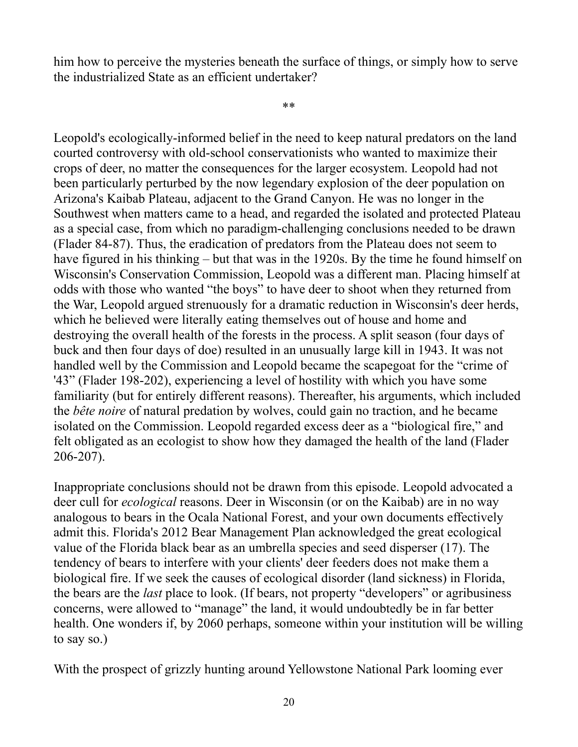him how to perceive the mysteries beneath the surface of things, or simply how to serve the industrialized State as an efficient undertaker?

\*\*

Leopold's ecologically-informed belief in the need to keep natural predators on the land courted controversy with old-school conservationists who wanted to maximize their crops of deer, no matter the consequences for the larger ecosystem. Leopold had not been particularly perturbed by the now legendary explosion of the deer population on Arizona's Kaibab Plateau, adjacent to the Grand Canyon. He was no longer in the Southwest when matters came to a head, and regarded the isolated and protected Plateau as a special case, from which no paradigm-challenging conclusions needed to be drawn (Flader 84-87). Thus, the eradication of predators from the Plateau does not seem to have figured in his thinking – but that was in the 1920s. By the time he found himself on Wisconsin's Conservation Commission, Leopold was a different man. Placing himself at odds with those who wanted "the boys" to have deer to shoot when they returned from the War, Leopold argued strenuously for a dramatic reduction in Wisconsin's deer herds, which he believed were literally eating themselves out of house and home and destroying the overall health of the forests in the process. A split season (four days of buck and then four days of doe) resulted in an unusually large kill in 1943. It was not handled well by the Commission and Leopold became the scapegoat for the "crime of '43" (Flader 198-202), experiencing a level of hostility with which you have some familiarity (but for entirely different reasons). Thereafter, his arguments, which included the *bête noire* of natural predation by wolves, could gain no traction, and he became isolated on the Commission. Leopold regarded excess deer as a "biological fire," and felt obligated as an ecologist to show how they damaged the health of the land (Flader 206-207).

Inappropriate conclusions should not be drawn from this episode. Leopold advocated a deer cull for *ecological* reasons. Deer in Wisconsin (or on the Kaibab) are in no way analogous to bears in the Ocala National Forest, and your own documents effectively admit this. Florida's 2012 Bear Management Plan acknowledged the great ecological value of the Florida black bear as an umbrella species and seed disperser (17). The tendency of bears to interfere with your clients' deer feeders does not make them a biological fire. If we seek the causes of ecological disorder (land sickness) in Florida, the bears are the *last* place to look. (If bears, not property "developers" or agribusiness concerns, were allowed to "manage" the land, it would undoubtedly be in far better health. One wonders if, by 2060 perhaps, someone within your institution will be willing to say so.)

With the prospect of grizzly hunting around Yellowstone National Park looming ever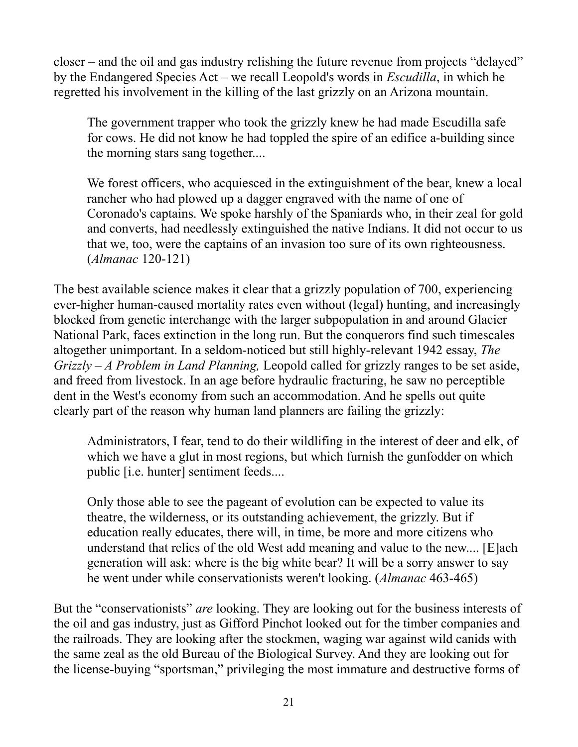closer – and the oil and gas industry relishing the future revenue from projects "delayed" by the Endangered Species Act – we recall Leopold's words in *Escudilla*, in which he regretted his involvement in the killing of the last grizzly on an Arizona mountain.

The government trapper who took the grizzly knew he had made Escudilla safe for cows. He did not know he had toppled the spire of an edifice a-building since the morning stars sang together....

We forest officers, who acquiesced in the extinguishment of the bear, knew a local rancher who had plowed up a dagger engraved with the name of one of Coronado's captains. We spoke harshly of the Spaniards who, in their zeal for gold and converts, had needlessly extinguished the native Indians. It did not occur to us that we, too, were the captains of an invasion too sure of its own righteousness. (*Almanac* 120-121)

The best available science makes it clear that a grizzly population of 700, experiencing ever-higher human-caused mortality rates even without (legal) hunting, and increasingly blocked from genetic interchange with the larger subpopulation in and around Glacier National Park, faces extinction in the long run. But the conquerors find such timescales altogether unimportant. In a seldom-noticed but still highly-relevant 1942 essay, *The Grizzly – A Problem in Land Planning,* Leopold called for grizzly ranges to be set aside, and freed from livestock. In an age before hydraulic fracturing, he saw no perceptible dent in the West's economy from such an accommodation. And he spells out quite clearly part of the reason why human land planners are failing the grizzly:

Administrators, I fear, tend to do their wildlifing in the interest of deer and elk, of which we have a glut in most regions, but which furnish the gunfodder on which public [i.e. hunter] sentiment feeds....

Only those able to see the pageant of evolution can be expected to value its theatre, the wilderness, or its outstanding achievement, the grizzly. But if education really educates, there will, in time, be more and more citizens who understand that relics of the old West add meaning and value to the new.... [E]ach generation will ask: where is the big white bear? It will be a sorry answer to say he went under while conservationists weren't looking. (*Almanac* 463-465)

But the "conservationists" *are* looking. They are looking out for the business interests of the oil and gas industry, just as Gifford Pinchot looked out for the timber companies and the railroads. They are looking after the stockmen, waging war against wild canids with the same zeal as the old Bureau of the Biological Survey. And they are looking out for the license-buying "sportsman," privileging the most immature and destructive forms of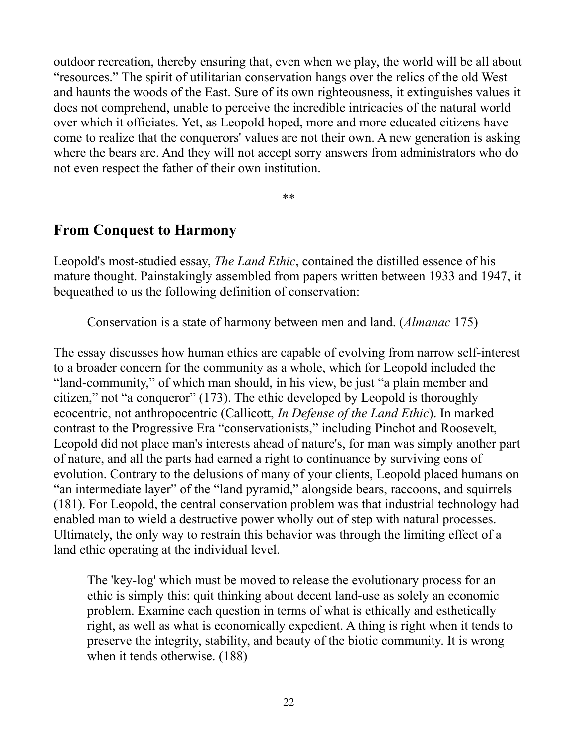outdoor recreation, thereby ensuring that, even when we play, the world will be all about "resources." The spirit of utilitarian conservation hangs over the relics of the old West and haunts the woods of the East. Sure of its own righteousness, it extinguishes values it does not comprehend, unable to perceive the incredible intricacies of the natural world over which it officiates. Yet, as Leopold hoped, more and more educated citizens have come to realize that the conquerors' values are not their own. A new generation is asking where the bears are. And they will not accept sorry answers from administrators who do not even respect the father of their own institution.

\*\*

## **From Conquest to Harmony**

Leopold's most-studied essay, *The Land Ethic*, contained the distilled essence of his mature thought. Painstakingly assembled from papers written between 1933 and 1947, it bequeathed to us the following definition of conservation:

Conservation is a state of harmony between men and land. (*Almanac* 175)

The essay discusses how human ethics are capable of evolving from narrow self-interest to a broader concern for the community as a whole, which for Leopold included the "land-community," of which man should, in his view, be just "a plain member and citizen," not "a conqueror" (173). The ethic developed by Leopold is thoroughly ecocentric, not anthropocentric (Callicott, *In Defense of the Land Ethic*). In marked contrast to the Progressive Era "conservationists," including Pinchot and Roosevelt, Leopold did not place man's interests ahead of nature's, for man was simply another part of nature, and all the parts had earned a right to continuance by surviving eons of evolution. Contrary to the delusions of many of your clients, Leopold placed humans on "an intermediate layer" of the "land pyramid," alongside bears, raccoons, and squirrels (181). For Leopold, the central conservation problem was that industrial technology had enabled man to wield a destructive power wholly out of step with natural processes. Ultimately, the only way to restrain this behavior was through the limiting effect of a land ethic operating at the individual level.

The 'key-log' which must be moved to release the evolutionary process for an ethic is simply this: quit thinking about decent land-use as solely an economic problem. Examine each question in terms of what is ethically and esthetically right, as well as what is economically expedient. A thing is right when it tends to preserve the integrity, stability, and beauty of the biotic community. It is wrong when it tends otherwise. (188)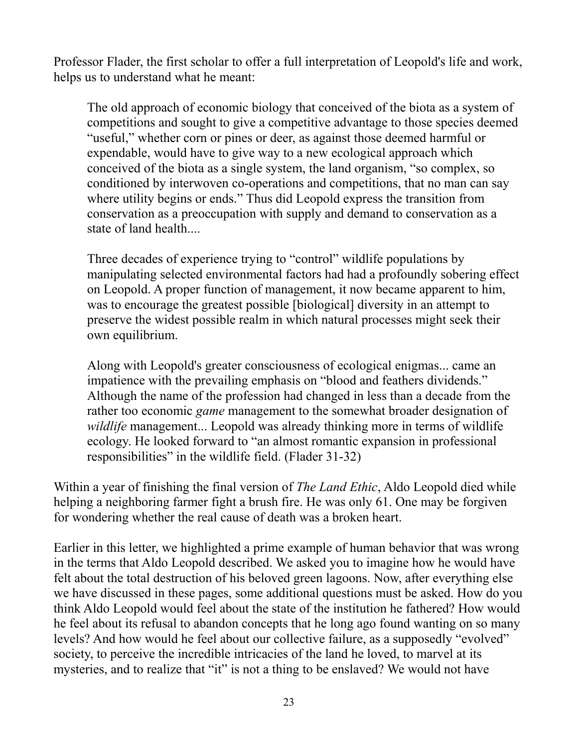Professor Flader, the first scholar to offer a full interpretation of Leopold's life and work, helps us to understand what he meant:

The old approach of economic biology that conceived of the biota as a system of competitions and sought to give a competitive advantage to those species deemed "useful," whether corn or pines or deer, as against those deemed harmful or expendable, would have to give way to a new ecological approach which conceived of the biota as a single system, the land organism, "so complex, so conditioned by interwoven co-operations and competitions, that no man can say where utility begins or ends." Thus did Leopold express the transition from conservation as a preoccupation with supply and demand to conservation as a state of land health....

Three decades of experience trying to "control" wildlife populations by manipulating selected environmental factors had had a profoundly sobering effect on Leopold. A proper function of management, it now became apparent to him, was to encourage the greatest possible [biological] diversity in an attempt to preserve the widest possible realm in which natural processes might seek their own equilibrium.

Along with Leopold's greater consciousness of ecological enigmas... came an impatience with the prevailing emphasis on "blood and feathers dividends." Although the name of the profession had changed in less than a decade from the rather too economic *game* management to the somewhat broader designation of *wildlife* management... Leopold was already thinking more in terms of wildlife ecology. He looked forward to "an almost romantic expansion in professional responsibilities" in the wildlife field. (Flader 31-32)

Within a year of finishing the final version of *The Land Ethic*, Aldo Leopold died while helping a neighboring farmer fight a brush fire. He was only 61. One may be forgiven for wondering whether the real cause of death was a broken heart.

Earlier in this letter, we highlighted a prime example of human behavior that was wrong in the terms that Aldo Leopold described. We asked you to imagine how he would have felt about the total destruction of his beloved green lagoons. Now, after everything else we have discussed in these pages, some additional questions must be asked. How do you think Aldo Leopold would feel about the state of the institution he fathered? How would he feel about its refusal to abandon concepts that he long ago found wanting on so many levels? And how would he feel about our collective failure, as a supposedly "evolved" society, to perceive the incredible intricacies of the land he loved, to marvel at its mysteries, and to realize that "it" is not a thing to be enslaved? We would not have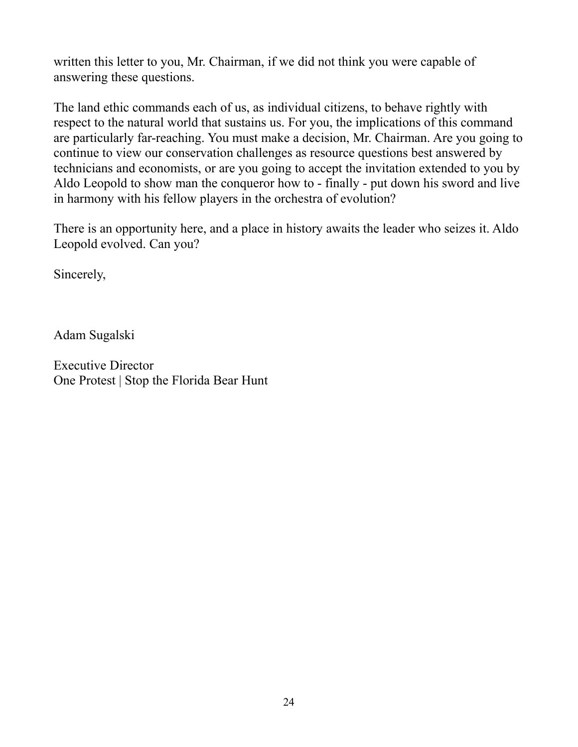written this letter to you, Mr. Chairman, if we did not think you were capable of answering these questions.

The land ethic commands each of us, as individual citizens, to behave rightly with respect to the natural world that sustains us. For you, the implications of this command are particularly far-reaching. You must make a decision, Mr. Chairman. Are you going to continue to view our conservation challenges as resource questions best answered by technicians and economists, or are you going to accept the invitation extended to you by Aldo Leopold to show man the conqueror how to - finally - put down his sword and live in harmony with his fellow players in the orchestra of evolution?

There is an opportunity here, and a place in history awaits the leader who seizes it. Aldo Leopold evolved. Can you?

Sincerely,

Adam Sugalski

Executive Director One Protest | Stop the Florida Bear Hunt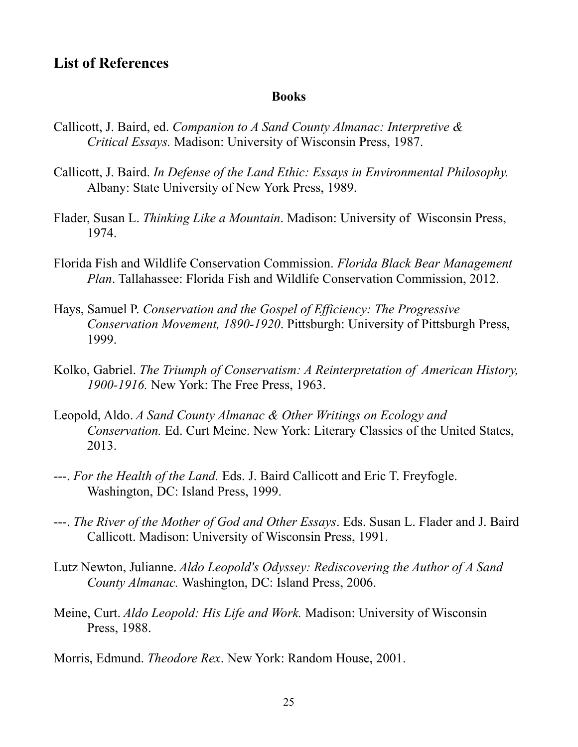### **List of References**

#### **Books**

- Callicott, J. Baird, ed. *Companion to A Sand County Almanac: Interpretive & Critical Essays.* Madison: University of Wisconsin Press, 1987.
- Callicott, J. Baird. *In Defense of the Land Ethic: Essays in Environmental Philosophy.* Albany: State University of New York Press, 1989.
- Flader, Susan L. *Thinking Like a Mountain*. Madison: University of Wisconsin Press, 1974.
- Florida Fish and Wildlife Conservation Commission. *Florida Black Bear Management Plan*. Tallahassee: Florida Fish and Wildlife Conservation Commission, 2012.
- Hays, Samuel P. *Conservation and the Gospel of Efficiency: The Progressive Conservation Movement, 1890-1920*. Pittsburgh: University of Pittsburgh Press, 1999.
- Kolko, Gabriel. *The Triumph of Conservatism: A Reinterpretation of American History, 1900-1916.* New York: The Free Press, 1963.
- Leopold, Aldo. *A Sand County Almanac & Other Writings on Ecology and Conservation.* Ed. Curt Meine. New York: Literary Classics of the United States, 2013.
- ---. *For the Health of the Land.* Eds. J. Baird Callicott and Eric T. Freyfogle. Washington, DC: Island Press, 1999.
- ---. *The River of the Mother of God and Other Essays*. Eds. Susan L. Flader and J. Baird Callicott. Madison: University of Wisconsin Press, 1991.
- Lutz Newton, Julianne. *Aldo Leopold's Odyssey: Rediscovering the Author of A Sand County Almanac.* Washington, DC: Island Press, 2006.
- Meine, Curt. *Aldo Leopold: His Life and Work.* Madison: University of Wisconsin Press, 1988.
- Morris, Edmund. *Theodore Rex*. New York: Random House, 2001.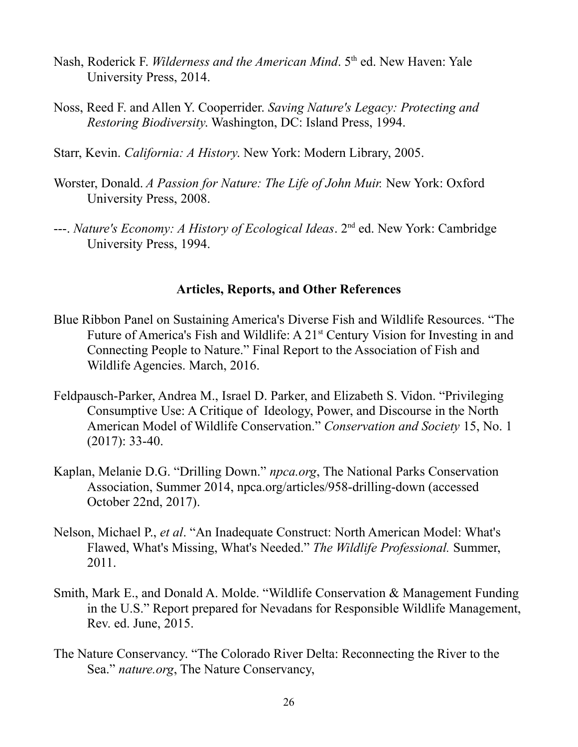- Nash, Roderick F. *Wilderness and the American Mind*. 5<sup>th</sup> ed. New Haven: Yale University Press, 2014.
- Noss, Reed F. and Allen Y. Cooperrider. *Saving Nature's Legacy: Protecting and Restoring Biodiversity*. Washington, DC: Island Press, 1994.
- Starr, Kevin. *California: A History*. New York: Modern Library, 2005.
- Worster, Donald. *A Passion for Nature: The Life of John Muir.* New York: Oxford University Press, 2008.
- ---. *Nature's Economy: A History of Ecological Ideas*. 2nd ed. New York: Cambridge University Press, 1994.

#### **Articles, Reports, and Other References**

- Blue Ribbon Panel on Sustaining America's Diverse Fish and Wildlife Resources. "The Future of America's Fish and Wildlife: A 21<sup>st</sup> Century Vision for Investing in and Connecting People to Nature." Final Report to the Association of Fish and Wildlife Agencies. March, 2016.
- Feldpausch-Parker, Andrea M., Israel D. Parker, and Elizabeth S. Vidon. "Privileging Consumptive Use: A Critique of Ideology, Power, and Discourse in the North American Model of Wildlife Conservation." *Conservation and Society* 15, No. 1 (2017): 33-40.
- Kaplan, Melanie D.G. "Drilling Down." *npca.org*, The National Parks Conservation Association, Summer 2014, npca.org/articles/958-drilling-down (accessed October 22nd, 2017).
- Nelson, Michael P., *et al*. "An Inadequate Construct: North American Model: What's Flawed, What's Missing, What's Needed." *The Wildlife Professional.* Summer, 2011.
- Smith, Mark E., and Donald A. Molde. "Wildlife Conservation & Management Funding in the U.S." Report prepared for Nevadans for Responsible Wildlife Management, Rev. ed. June, 2015.
- The Nature Conservancy. "The Colorado River Delta: Reconnecting the River to the Sea." *nature.org*, The Nature Conservancy,